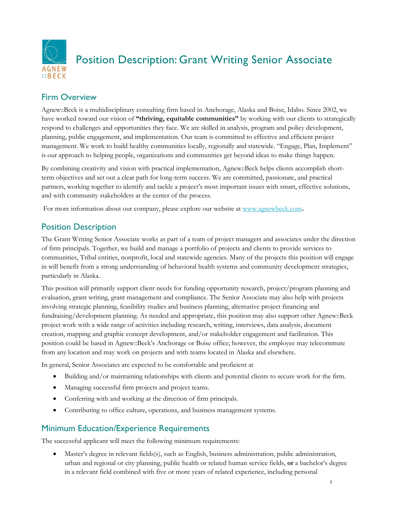

## Firm Overview

Agnew::Beck is a multidisciplinary consulting firm based in Anchorage, Alaska and Boise, Idaho. Since 2002, we have worked toward our vision of **"thriving, equitable communities"** by working with our clients to strategically respond to challenges and opportunities they face. We are skilled in analysis, program and policy development, planning, public engagement, and implementation. Our team is committed to effective and efficient project management. We work to build healthy communities locally, regionally and statewide. "Engage, Plan, Implement" is our approach to helping people, organizations and communities get beyond ideas to make things happen.

By combining creativity and vision with practical implementation, Agnew::Beck helps clients accomplish shortterm objectives and set out a clear path for long-term success. We are committed, passionate, and practical partners, working together to identify and tackle a project's most important issues with smart, effective solutions, and with community stakeholders at the center of the process.

For more information about our company, please explore our website at [www.agnewbeck.com](http://www.agnewbeck.com/)**.**

## Position Description

The Grant Writing Senior Associate works as part of a team of project managers and associates under the direction of firm principals. Together, we build and manage a portfolio of projects and clients to provide services to communities, Tribal entities, nonprofit, local and statewide agencies. Many of the projects this position will engage in will benefit from a strong understanding of behavioral health systems and community development strategies, particularly in Alaska.

This position will primarily support client needs for funding opportunity research, project/program planning and evaluation, grant writing, grant management and compliance. The Senior Associate may also help with projects involving strategic planning, feasibility studies and business planning, alternative project financing and fundraising/development planning. As needed and appropriate, this position may also support other Agnew::Beck project work with a wide range of activities including research, writing, interviews, data analysis, document creation, mapping and graphic concept development, and/or stakeholder engagement and facilitation. This position could be based in Agnew::Beck's Anchorage or Boise office; however, the employee may telecommute from any location and may work on projects and with teams located in Alaska and elsewhere.

In general, Senior Associates are expected to be comfortable and proficient at

- Building and/or maintaining relationships with clients and potential clients to secure work for the firm.
- Managing successful firm projects and project teams.
- Conferring with and working at the direction of firm principals.
- Contributing to office culture, operations, and business management systems.

### Minimum Education/Experience Requirements

The successful applicant will meet the following minimum requirements:

• Master's degree in relevant fields(s), such as English, business administration, public administration, urban and regional or city planning, public health or related human service fields, **or** a bachelor's degree in a relevant field combined with five or more years of related experience, including personal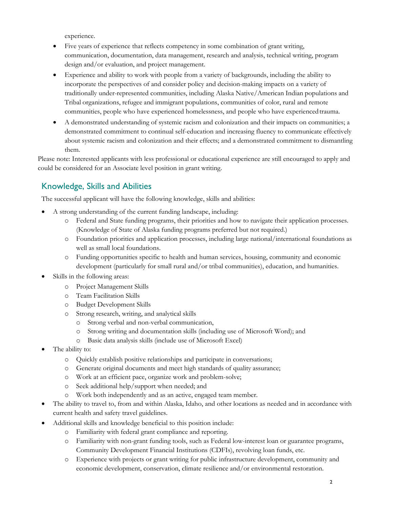experience.

- Five years of experience that reflects competency in some combination of grant writing, communication, documentation, data management, research and analysis, technical writing, program design and/or evaluation, and project management.
- Experience and ability to work with people from a variety of backgrounds, including the ability to incorporate the perspectives of and consider policy and decision-making impacts on a variety of traditionally under-represented communities, including Alaska Native/American Indian populations and Tribal organizations, refugee and immigrant populations, communities of color, rural and remote communities, people who have experienced homelessness, and people who have experiencedtrauma.
- A demonstrated understanding of systemic racism and colonization and their impacts on communities; a demonstrated commitment to continual self-education and increasing fluency to communicate effectively about systemic racism and colonization and their effects; and a demonstrated commitment to dismantling them.

Please note: Interested applicants with less professional or educational experience are still encouraged to apply and could be considered for an Associate level position in grant writing.

# Knowledge, Skills and Abilities

The successful applicant will have the following knowledge, skills and abilities:

- A strong understanding of the current funding landscape, including:
	- o Federal and State funding programs, their priorities and how to navigate their application processes. (Knowledge of State of Alaska funding programs preferred but not required.)
	- o Foundation priorities and application processes, including large national/international foundations as well as small local foundations.
	- o Funding opportunities specific to health and human services, housing, community and economic development (particularly for small rural and/or tribal communities), education, and humanities.
- Skills in the following areas:
	- o Project Management Skills
	- o Team Facilitation Skills
	- o Budget Development Skills
	- o Strong research, writing, and analytical skills
		- o Strong verbal and non-verbal communication,
		- o Strong writing and documentation skills (including use of Microsoft Word); and
		- o Basic data analysis skills (include use of Microsoft Excel)
- The ability to:
	- o Quickly establish positive relationships and participate in conversations;
	- o Generate original documents and meet high standards of quality assurance;
	- o Work at an efficient pace, organize work and problem-solve;
	- o Seek additional help/support when needed; and
	- o Work both independently and as an active, engaged team member.
- The ability to travel to, from and within Alaska, Idaho, and other locations as needed and in accordance with current health and safety travel guidelines.
- Additional skills and knowledge beneficial to this position include:
	- o Familiarity with federal grant compliance and reporting.
	- o Familiarity with non-grant funding tools, such as Federal low-interest loan or guarantee programs, Community Development Financial Institutions (CDFIs), revolving loan funds, etc.
	- o Experience with projects or grant writing for public infrastructure development, community and economic development, conservation, climate resilience and/or environmental restoration.